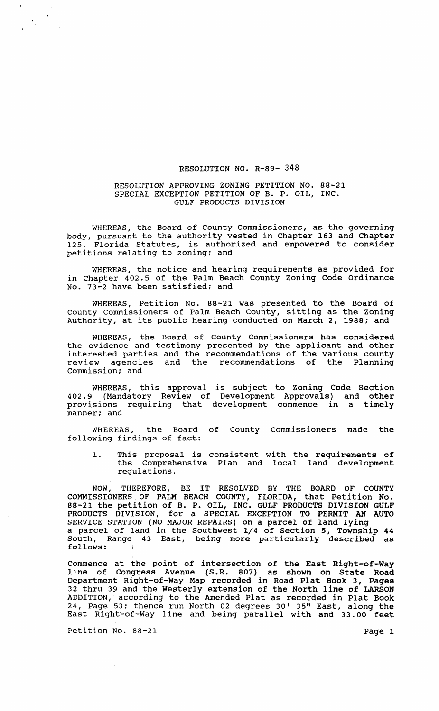## RESOLUTION NO. R-89- 348

## RESOLUTION APPROVING ZONING PETITION NO. 88-21 SPECIAL EXCEPTION PETITION OF B. P. OIL, INC. GULF PRODUCTS DIVISION

WHEREAS, the Board of County Commissioners, as the governing body, pursuant to the authority vested in Chapter 163 and Chapter<br>125, Florida Statutes, is authorized and empowered to consider Florida Statutes, is authorized and empowered to consider petitions relating to zoning; and

WHEREAS, the notice and hearing requirements as provided for in Chapter 402.5 of the Palm Beach County Zoning Code Ordinance No. 73-2 have been satisfied; and

WHEREAS, Petition No. 88-21 was presented to the Board of County Commissioners of Palm Beach County, sitting as the Zoning Authority, at its public hearing conducted on March 2, 1988; and

WHEREAS, the Board of County Commissioners has considered the evidence and testimony presented by the applicant and other interested parties and the recommendations of the various county review agencies and the recommendations of the Planning Commission; and

WHEREAS, this approval is subject to Zoning Code Section 402.9 (Mandatory Review of Development Approvals) and other provisions requiring that development commence in a timely manner: and

WHEREAS, the Board of County Commissioners made the following findings of fact:

1. This proposal is consistent with the requirements of the Comprehensive Plan and local land development regulations.

NOW, THEREFORE, BE IT RESOLVED BY THE BOARD OF COUNTY COMMISSIONERS OF PALM BEACH COUNTY, FLORIDA, that Petition No. 88-21 the petition of B. P. OIL, INC. GULF PRODUCTS DIVISION GULF PRODUCTS DIVISION, for a SPECIAL EXCEPTION TO PERMIT AN AUTO SERVICE STATION (NO MAJOR REPAIRS) on a parcel of land lying a parcel of land in the Southwest 1/4 of Section 5, Township 44 South, Range 43 East, being more particularly described as follows:

Commence at the point of intersection of the East Right-of-Way line of Congress Avenue (S.R. 807) as shown on State Road Department Right-of-Way Map recorded in Road Plat Book 3, Pages 32 thru 39 and the Westerly extension of the North line of LARSON ADDITION, according to the Amended Plat as recorded in Plat Book 24, Page 53; thence run North 02 degrees 30' 35" East, along the East Right~of-Way line and being parallel with and 33.00 feet

Petition No. 88-21 Page 1

 $\label{eq:2} \frac{1}{\sqrt{2}}\sum_{i=1}^N\frac{1}{\sqrt{2}}\sum_{i=1}^N\frac{1}{\sqrt{2}}\sum_{i=1}^N\frac{1}{\sqrt{2}}\sum_{i=1}^N\frac{1}{\sqrt{2}}\sum_{i=1}^N\frac{1}{\sqrt{2}}\sum_{i=1}^N\frac{1}{\sqrt{2}}\sum_{i=1}^N\frac{1}{\sqrt{2}}\sum_{i=1}^N\frac{1}{\sqrt{2}}\sum_{i=1}^N\frac{1}{\sqrt{2}}\sum_{i=1}^N\frac{1}{\sqrt{2}}\sum_{i=1}^N\frac{1$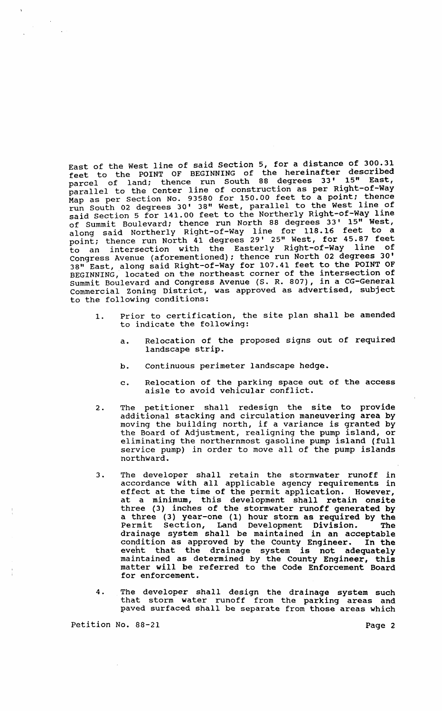East of the west line of said section 5, for a distance of 300.31 feet to the POINT OF BEGINNING of the hereinafter described parcel of land; thence run south 88 degrees 33' 15" East, parcer of fund, enter line of construction as per Right-of-Way parafier to the center fine for 150.00 feet to a point; thence run South 02 degrees 30' 38" West, parallel to the West line of said section 5 for 141.00 feet to the Northerly Right-of-Way line of summit Boulevard; thence run North 88 degrees 33' 15" West, along said Northerly Right-of-Way line for 118.16 feet to a point; thence run North 41 degrees 29' 25" West, for 45.87 feet to an intersection with the Easterly Right-of-Way line of Congress Avenue (aforementioned); thence run North 02 degrees 30' 38" East, along said Right-of-Way for 107.41 feet to the POINT OF BEGINNING, located on the northeast corner of the intersection of summit Boulevard and Congress Avenue (S. R. 807), in a CG-General Commercial zoning District, was approved as advertised, subject to the following conditions:

- 1. Prior to certification, the site plan shall be amended to indicate the following:
	- a. Relocation of the proposed signs out of required landscape strip.
	- b. continuous perimeter landscape hedge.
	- c. Relocation of the parking space out of the access aisle to avoid vehicular conflict.
- 2. The petitioner shall redesign the site to provide additional stacking and circulation maneuvering area by moving the building north, if a variance is granted by the Board of Adjustment, realigning the pump island, or eliminating the northernmost gasoline pump island (full service pump) in order to move all of the pump islands northward.
- 3. The developer shall retain the stormwater runoff in accordance with all applicable agency requirements in effect at the time of the permit application. However, at a minimum, this development shall retain onsite three (3) inches of the stormwater runoff generated by a three (3) year-one (1) hour storm as required by the Permit section, Land Development Division. The drainage system shall be maintained in an acceptable condition as approved by the County Engineer. In the event that the drainage system is not adequately maintained as determined by the County Engineer, this matter will be referred to the Code Enforcement Board for enforcement.
- 4. The developer shall design the drainage system such that storm water runoff from the parking areas and paved surfaced shall be separate from those areas which

Petition No. 88-21 Page 2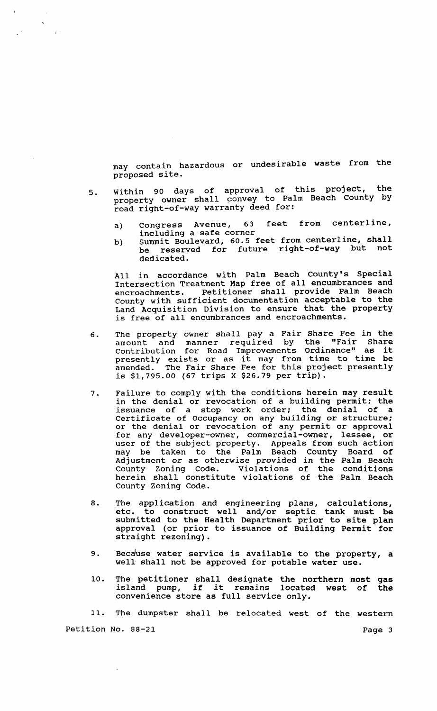may contain hazardous or undesirable waste from the proposed site.

- 5. within 90 days of approval of this project, the property owner shall convey to Palm Beach County by road right-of-way warranty deed for:
	- a) Congress Avenue, 63 feet from centerline, including a safe corner
	- b) summit Boulevard, 60.5 feet from centerline, shall be reserved for future right-of-way but not dedicated.

All in accordance with Palm Beach County's Special Intersection Treatment Map free of all encumbrances and encroachments. Petitioner shall provide Palm Beach County with sufficient documentation acceptable to the Land Acquisition Division to ensure that the property is free of all encumbrances and encroachments.

- 6. The property owner shall pay a Fair Share Fee in the amount and manner required by the "Fair Share contribution for Road Improvements Ordinance" as it presently exists or as it may from time to time be amended. The Fair Share Fee for this project presently is \$1,795.00 (67 trips X \$26.79 per trip).
- 7. Failure to comply with the conditions herein may result in the denial or revocation of a building permit; the issuance of a stop work order: the denial of a certificate of Occupancy on any building or structure; or the denial or revocation of any permit or approval for any developer-owner, commercial-owner, lessee, or user of the subject property. Appeals from such action may be taken to the Palm Beach County Board of Adjustment or as otherwise provided in the Palm Beach county Zoning Code. Violations of the conditions herein shall constitute violations of the Palm Beach County Zoning Code.
- 8. The application and engineering plans, calculations, etc. to construct well and/or septic tank must be submitted to the Health Department prior to site plan approval (or prior to issuance of Building Permit for straight rezoning).
- 9. Because water service is available to the property, a well shall not be approved for potable water use.
- 10. The petitioner shall designate the northern most gas The petitioner shall designate the northern most gas<br>island pump, if it remains located west of the convenience store as full service only.

11. The dumpster shall be relocated west of the western

Petition No. 88-21 Page 3

 $\sim$